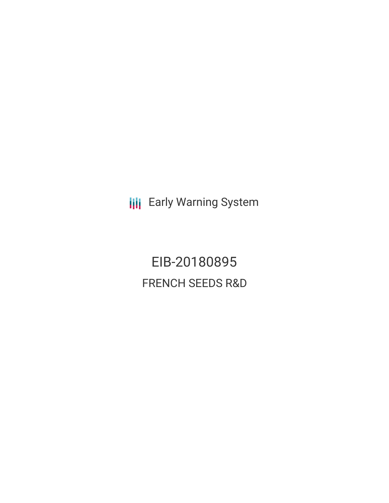**III** Early Warning System

EIB-20180895 FRENCH SEEDS R&D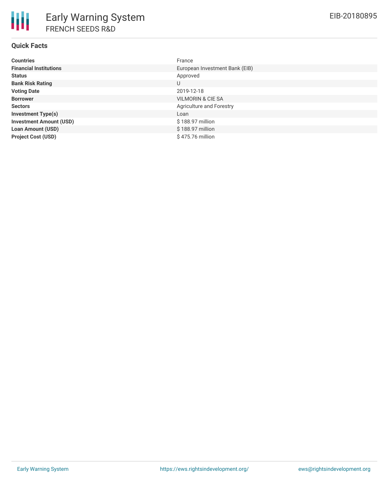# **Quick Facts**

| <b>Countries</b>               | France                          |
|--------------------------------|---------------------------------|
| <b>Financial Institutions</b>  | European Investment Bank (EIB)  |
| <b>Status</b>                  | Approved                        |
| <b>Bank Risk Rating</b>        | U                               |
| <b>Voting Date</b>             | 2019-12-18                      |
| <b>Borrower</b>                | VILMORIN & CIE SA               |
| <b>Sectors</b>                 | <b>Agriculture and Forestry</b> |
| <b>Investment Type(s)</b>      | Loan                            |
| <b>Investment Amount (USD)</b> | \$188.97 million                |
| <b>Loan Amount (USD)</b>       | \$188.97 million                |
| <b>Project Cost (USD)</b>      | \$475.76 million                |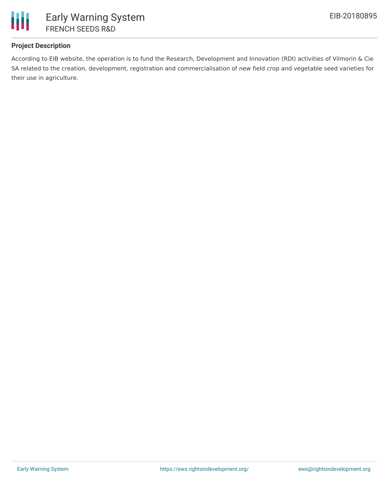

# **Project Description**

According to EIB website, the operation is to fund the Research, Development and Innovation (RDI) activities of Vilmorin & Cie SA related to the creation, development, registration and commercialisation of new field crop and vegetable seed varieties for their use in agriculture.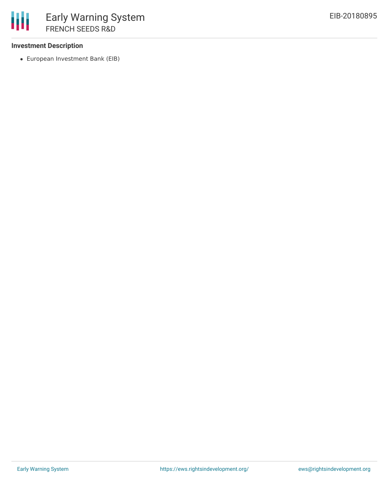### **Investment Description**

European Investment Bank (EIB)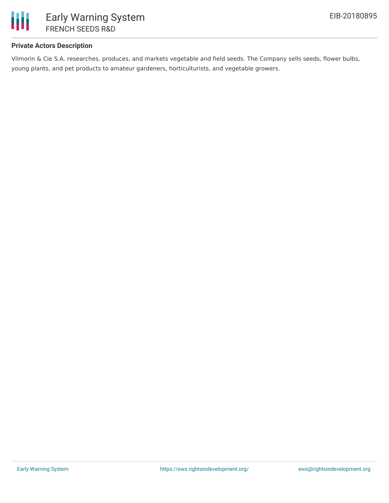

## **Private Actors Description**

Vilmorin & Cie S.A. researches, produces, and markets vegetable and field seeds. The Company sells seeds, flower bulbs, young plants, and pet products to amateur gardeners, horticulturists, and vegetable growers.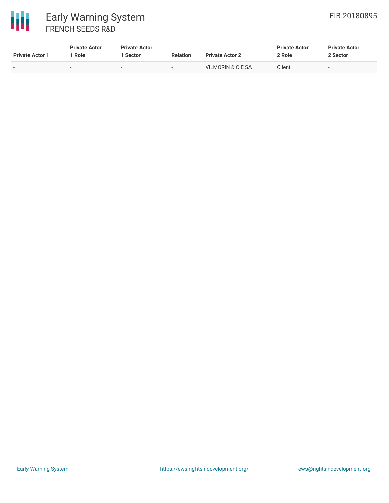

| <b>Private Actor 1</b> | <b>Private Actor</b><br>Role | <b>Private Actor</b><br>  Sector | <b>Relation</b>          | <b>Private Actor 2</b> | <b>Private Actor</b><br>2 Role | <b>Private Actor</b><br>2 Sector |
|------------------------|------------------------------|----------------------------------|--------------------------|------------------------|--------------------------------|----------------------------------|
| -                      | $\overline{\phantom{a}}$     | $\overline{\phantom{0}}$         | $\overline{\phantom{0}}$ | VILMORIN & CIE SA      | Client                         | $\overline{\phantom{a}}$         |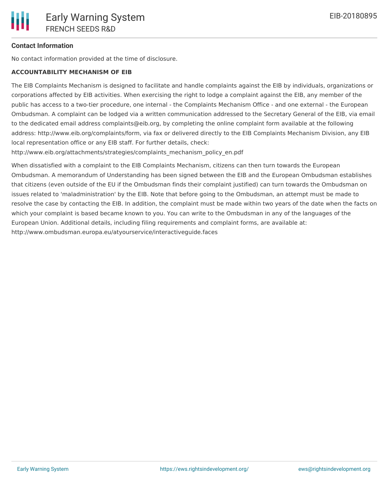### **Contact Information**

No contact information provided at the time of disclosure.

#### **ACCOUNTABILITY MECHANISM OF EIB**

The EIB Complaints Mechanism is designed to facilitate and handle complaints against the EIB by individuals, organizations or corporations affected by EIB activities. When exercising the right to lodge a complaint against the EIB, any member of the public has access to a two-tier procedure, one internal - the Complaints Mechanism Office - and one external - the European Ombudsman. A complaint can be lodged via a written communication addressed to the Secretary General of the EIB, via email to the dedicated email address complaints@eib.org, by completing the online complaint form available at the following address: http://www.eib.org/complaints/form, via fax or delivered directly to the EIB Complaints Mechanism Division, any EIB local representation office or any EIB staff. For further details, check:

http://www.eib.org/attachments/strategies/complaints\_mechanism\_policy\_en.pdf

When dissatisfied with a complaint to the EIB Complaints Mechanism, citizens can then turn towards the European Ombudsman. A memorandum of Understanding has been signed between the EIB and the European Ombudsman establishes that citizens (even outside of the EU if the Ombudsman finds their complaint justified) can turn towards the Ombudsman on issues related to 'maladministration' by the EIB. Note that before going to the Ombudsman, an attempt must be made to resolve the case by contacting the EIB. In addition, the complaint must be made within two years of the date when the facts on which your complaint is based became known to you. You can write to the Ombudsman in any of the languages of the European Union. Additional details, including filing requirements and complaint forms, are available at: http://www.ombudsman.europa.eu/atyourservice/interactiveguide.faces